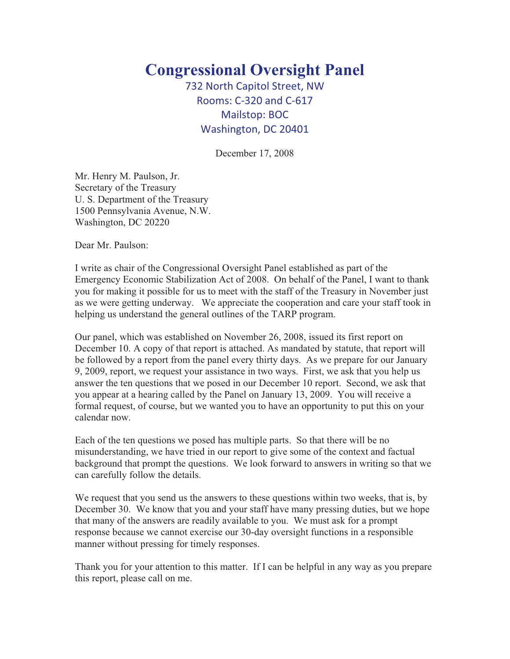## **Congressional Oversight Panel**

732 North Capitol Street, NW Rooms: C-320 and C-617 Mailstop: BOC Washington, DC 20401

December 17, 2008

Mr. Henry M. Paulson, Jr. Secretary of the Treasury U. S. Department of the Treasury 1500 Pennsylvania Avenue, N.W. Washington, DC 20220

Dear Mr. Paulson:

I write as chair of the Congressional Oversight Panel established as part of the Emergency Economic Stabilization Act of 2008. On behalf of the Panel, I want to thank you for making it possible for us to meet with the staff of the Treasury in November just as we were getting underway. We appreciate the cooperation and care your staff took in helping us understand the general outlines of the TARP program.

Our panel, which was established on November 26, 2008, issued its first report on December 10. A copy of that report is attached. As mandated by statute, that report will be followed by a report from the panel every thirty days. As we prepare for our January 9, 2009, report, we request your assistance in two ways. First, we ask that you help us answer the ten questions that we posed in our December 10 report. Second, we ask that you appear at a hearing called by the Panel on January 13, 2009. You will receive a formal request, of course, but we wanted you to have an opportunity to put this on your calendar now.

Each of the ten questions we posed has multiple parts. So that there will be no misunderstanding, we have tried in our report to give some of the context and factual background that prompt the questions. We look forward to answers in writing so that we can carefully follow the details.

We request that you send us the answers to these questions within two weeks, that is, by December 30. We know that you and your staff have many pressing duties, but we hope that many of the answers are readily available to you. We must ask for a prompt response because we cannot exercise our 30-day oversight functions in a responsible manner without pressing for timely responses.

Thank you for your attention to this matter. If I can be helpful in any way as you prepare this report, please call on me.